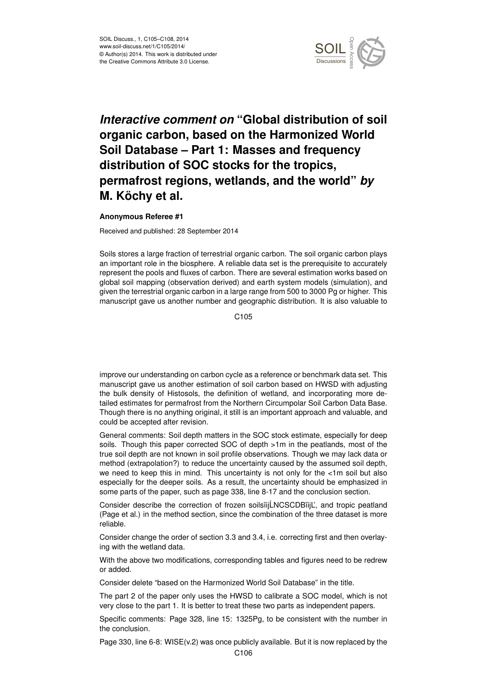

## *Interactive comment on* **"Global distribution of soil organic carbon, based on the Harmonized World Soil Database – Part 1: Masses and frequency distribution of SOC stocks for the tropics, permafrost regions, wetlands, and the world"** *by* **M. Köchy et al.**

## **Anonymous Referee #1**

Received and published: 28 September 2014

Soils stores a large fraction of terrestrial organic carbon. The soil organic carbon plays an important role in the biosphere. A reliable data set is the prerequisite to accurately represent the pools and fluxes of carbon. There are several estimation works based on global soil mapping (observation derived) and earth system models (simulation), and given the terrestrial organic carbon in a large range from 500 to 3000 Pg or higher. This manuscript gave us another number and geographic distribution. It is also valuable to

C105

improve our understanding on carbon cycle as a reference or benchmark data set. This manuscript gave us another estimation of soil carbon based on HWSD with adjusting the bulk density of Histosols, the definition of wetland, and incorporating more detailed estimates for permafrost from the Northern Circumpolar Soil Carbon Data Base. Though there is no anything original, it still is an important approach and valuable, and could be accepted after revision.

General comments: Soil depth matters in the SOC stock estimate, especially for deep soils. Though this paper corrected SOC of depth >1m in the peatlands, most of the true soil depth are not known in soil profile observations. Though we may lack data or method (extrapolation?) to reduce the uncertainty caused by the assumed soil depth, we need to keep this in mind. This uncertainty is not only for the <1m soil but also especially for the deeper soils. As a result, the uncertainty should be emphasized in some parts of the paper, such as page 338, line 8-17 and the conclusion section.

Consider describe the correction of frozen soilsiijLNCSCDBiijL', and tropic peatland (Page et al.) in the method section, since the combination of the three dataset is more reliable.

Consider change the order of section 3.3 and 3.4, i.e. correcting first and then overlaying with the wetland data.

With the above two modifications, corresponding tables and figures need to be redrew or added.

Consider delete "based on the Harmonized World Soil Database" in the title.

The part 2 of the paper only uses the HWSD to calibrate a SOC model, which is not very close to the part 1. It is better to treat these two parts as independent papers.

Specific comments: Page 328, line 15: 1325Pg, to be consistent with the number in the conclusion.

Page 330, line 6-8: WISE(v.2) was once publicly available. But it is now replaced by the